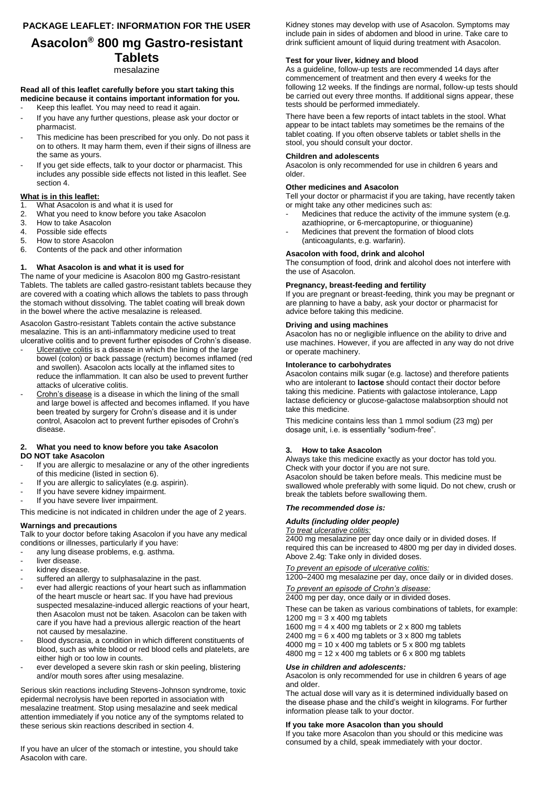## **PACKAGE LEAFLET: INFORMATION FOR THE USER**

# **Asacolon® 800 mg Gastro-resistant Tablets**

#### mesalazine

### **Read all of this leaflet carefully before you start taking this medicine because it contains important information for you.**

- Keep this leaflet. You may need to read it again.
- If you have any further questions, please ask your doctor or pharmacist.
- This medicine has been prescribed for you only. Do not pass it on to others. It may harm them, even if their signs of illness are the same as yours.
- If you get side effects, talk to your doctor or pharmacist. This includes any possible side effects not listed in this leaflet. See section 4.

## **What is in this leaflet:**

- 1. What Asacolon is and what it is used for
- 2. What you need to know before you take Asacolon<br>3. How to take Asacolon
- How to take Asacolon
- 4. Possible side effects<br>5. How to store Asacold
- How to store Asacolon
- 6. Contents of the pack and other information

## **1. What Asacolon is and what it is used for**

The name of your medicine is Asacolon 800 mg Gastro-resistant Tablets. The tablets are called gastro-resistant tablets because they are covered with a coating which allows the tablets to pass through the stomach without dissolving. The tablet coating will break down in the bowel where the active mesalazine is released.

Asacolon Gastro-resistant Tablets contain the active substance mesalazine. This is an anti-inflammatory medicine used to treat ulcerative colitis and to prevent further episodes of Crohn's disease.

- Ulcerative colitis is a disease in which the lining of the large bowel (colon) or back passage (rectum) becomes inflamed (red and swollen). Asacolon acts locally at the inflamed sites to reduce the inflammation. It can also be used to prevent further attacks of ulcerative colitis.
- Crohn's disease is a disease in which the lining of the small and large bowel is affected and becomes inflamed. If you have been treated by surgery for Crohn's disease and it is under control, Asacolon act to prevent further episodes of Crohn's disease.

#### **2. What you need to know before you take Asacolon DO NOT take Asacolon**

- If you are allergic to mesalazine or any of the other ingredients of this medicine (listed in section 6).
- If you are allergic to salicylates (e.g. aspirin).
- If you have severe kidney impairment.
- If you have severe liver impairment.

This medicine is not indicated in children under the age of 2 years.

## **Warnings and precautions**

Talk to your doctor before taking Asacolon if you have any medical conditions or illnesses, particularly if you have:

- any lung disease problems, e.g. asthma.
- liver disease.
- kidney disease. suffered an allergy to sulphasalazine in the past.
- ever had allergic reactions of your heart such as inflammation of the heart muscle or heart sac. If you have had previous suspected mesalazine-induced allergic reactions of your heart, then Asacolon must not be taken. Asacolon can be taken with care if you have had a previous allergic reaction of the heart not caused by mesalazine.
- Blood dyscrasia, a condition in which different constituents of blood, such as white blood or red blood cells and platelets, are either high or too low in counts.
- ever developed a severe skin rash or skin peeling, blistering and/or mouth sores after using mesalazine.

Serious skin reactions including Stevens-Johnson syndrome, toxic epidermal necrolysis have been reported in association with mesalazine treatment. Stop using mesalazine and seek medical attention immediately if you notice any of the symptoms related to these serious skin reactions described in section 4.

If you have an ulcer of the stomach or intestine, you should take Asacolon with care.

Kidney stones may develop with use of Asacolon. Symptoms may include pain in sides of abdomen and blood in urine. Take care to drink sufficient amount of liquid during treatment with Asacolon.

## **Test for your liver, kidney and blood**

As a guideline, follow-up tests are recommended 14 days after commencement of treatment and then every 4 weeks for the following 12 weeks. If the findings are normal, follow-up tests should be carried out every three months. If additional signs appear, these tests should be performed immediately.

There have been a few reports of intact tablets in the stool. What appear to be intact tablets may sometimes be the remains of the tablet coating. If you often observe tablets or tablet shells in the stool, you should consult your doctor.

## **Children and adolescents**

Asacolon is only recommended for use in children 6 years and older.

## **Other medicines and Asacolon**

Tell your doctor or pharmacist if you are taking, have recently taken or might take any other medicines such as:

- Medicines that reduce the activity of the immune system (e.g. azathioprine, or 6-mercaptopurine, or thioguanine)
- Medicines that prevent the formation of blood clots (anticoagulants, e.g. warfarin).

## **Asacolon with food, drink and alcohol**

The consumption of food, drink and alcohol does not interfere with the use of Asacolon.

## **Pregnancy, breast-feeding and fertility**

If you are pregnant or breast-feeding, think you may be pregnant or are planning to have a baby, ask your doctor or pharmacist for advice before taking this medicine.

## **Driving and using machines**

Asacolon has no or negligible influence on the ability to drive and use machines. However, if you are affected in any way do not drive or operate machinery.

## **Intolerance to carbohydrates**

Asacolon contains milk sugar (e.g. lactose) and therefore patients who are intolerant to **lactose** should contact their doctor before taking this medicine. Patients with galactose intolerance, Lapp lactase deficiency or glucose-galactose malabsorption should not take this medicine.

This medicine contains less than 1 mmol sodium (23 mg) per dosage unit, i.e. is essentially "sodium-free".

## **3. How to take Asacolon**

Always take this medicine exactly as your doctor has told you. Check with your doctor if you are not sure. Asacolon should be taken before meals. This medicine must be swallowed whole preferably with some liquid. Do not chew, crush or break the tablets before swallowing them.

#### *The recommended dose is:*

## *Adults (including older people)*

#### *To treat ulcerative colitis:*

2400 mg mesalazine per day once daily or in divided doses. If required this can be increased to 4800 mg per day in divided doses. Above 2.4g: Take only in divided doses.

*To prevent an episode of ulcerative colitis:* 

1200–2400 mg mesalazine per day, once daily or in divided doses.

*To prevent an episode of Crohn's disease:*  2400 mg per day, once daily or in divided doses.

These can be taken as various combinations of tablets, for example: 1200 mg =  $3 \times 400$  mg tablets

1600 mg =  $4 \times 400$  mg tablets or  $2 \times 800$  mg tablets 2400 mg =  $6 \times 400$  mg tablets or  $3 \times 800$  mg tablets 4000 mg =  $10 \times 400$  mg tablets or  $5 \times 800$  mg tablets

4800 mg = 12 x 400 mg tablets or  $6 \times 800$  mg tablets

### *Use in children and adolescents:*

Asacolon is only recommended for use in children 6 years of age and older.

The actual dose will vary as it is determined individually based on the disease phase and the child's weight in kilograms. For further information please talk to your doctor.

## **If you take more Asacolon than you should**

If you take more Asacolon than you should or this medicine was consumed by a child, speak immediately with your doctor.